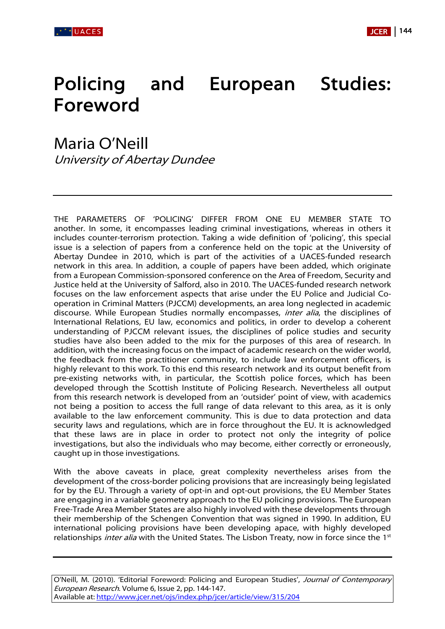

## Policing and European Studies: Foreword

Maria O'Neill University of Abertay Dundee

THE PARAMETERS OF 'POLICING' DIFFER FROM ONE EU MEMBER STATE TO another. In some, it encompasses leading criminal investigations, whereas in others it includes counter-terrorism protection. Taking a wide definition of 'policing', this special issue is a selection of papers from a conference held on the topic at the University of Abertay Dundee in 2010, which is part of the activities of a UACES-funded research network in this area. In addition, a couple of papers have been added, which originate from a European Commission-sponsored conference on the Area of Freedom, Security and Justice held at the University of Salford, also in 2010. The UACES-funded research network focuses on the law enforcement aspects that arise under the EU Police and Judicial Cooperation in Criminal Matters (PJCCM) developments, an area long neglected in academic discourse. While European Studies normally encompasses, *inter alia*, the disciplines of International Relations, EU law, economics and politics, in order to develop a coherent understanding of PJCCM relevant issues, the disciplines of police studies and security studies have also been added to the mix for the purposes of this area of research. In addition, with the increasing focus on the impact of academic research on the wider world, the feedback from the practitioner community, to include law enforcement officers, is highly relevant to this work. To this end this research network and its output benefit from pre-existing networks with, in particular, the Scottish police forces, which has been developed through the Scottish Institute of Policing Research. Nevertheless all output from this research network is developed from an 'outsider' point of view, with academics not being a position to access the full range of data relevant to this area, as it is only available to the law enforcement community. This is due to data protection and data security laws and regulations, which are in force throughout the EU. It is acknowledged that these laws are in place in order to protect not only the integrity of police investigations, but also the individuals who may become, either correctly or erroneously, caught up in those investigations.

With the above caveats in place, great complexity nevertheless arises from the development of the cross-border policing provisions that are increasingly being legislated for by the EU. Through a variety of opt-in and opt-out provisions, the EU Member States are engaging in a variable geometry approach to the EU policing provisions. The European Free-Trade Area Member States are also highly involved with these developments through their membership of the Schengen Convention that was signed in 1990. In addition, EU international policing provisions have been developing apace, with highly developed relationships *inter alia* with the United States. The Lisbon Treaty, now in force since the 1<sup>st</sup>

O'Neill, M. (2010). 'Editorial Foreword: Policing and European Studies', Journal of Contemporary European Research. Volume 6, Issue 2, pp. 144-147. Available at: [http://www.jcer.net/ojs/index.php/jcer/article/view/315/204](http://www.jcer.net/ojs/index.php/jcer/article/view/315/202)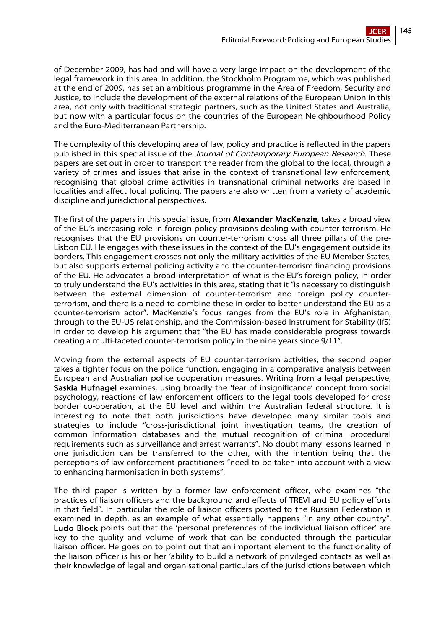of December 2009, has had and will have a very large impact on the development of the legal framework in this area. In addition, the Stockholm Programme, which was published at the end of 2009, has set an ambitious programme in the Area of Freedom, Security and Justice, to include the development of the external relations of the European Union in this area, not only with traditional strategic partners, such as the United States and Australia, but now with a particular focus on the countries of the European Neighbourhood Policy and the Euro-Mediterranean Partnership.

The complexity of this developing area of law, policy and practice is reflected in the papers published in this special issue of the Journal of Contemporary European Research. These papers are set out in order to transport the reader from the global to the local, through a variety of crimes and issues that arise in the context of transnational law enforcement, recognising that global crime activities in transnational criminal networks are based in localities and affect local policing. The papers are also written from a variety of academic discipline and jurisdictional perspectives.

The first of the papers in this special issue, from Alexander MacKenzie, takes a broad view of the EU's increasing role in foreign policy provisions dealing with counter-terrorism. He recognises that the EU provisions on counter-terrorism cross all three pillars of the pre-Lisbon EU. He engages with these issues in the context of the EU's engagement outside its borders. This engagement crosses not only the military activities of the EU Member States, but also supports external policing activity and the counter-terrorism financing provisions of the EU. He advocates a broad interpretation of what is the EU's foreign policy, in order to truly understand the EU's activities in this area, stating that it "is necessary to distinguish between the external dimension of counter-terrorism and foreign policy counterterrorism, and there is a need to combine these in order to better understand the EU as a counter-terrorism actor". MacKenzie's focus ranges from the EU's role in Afghanistan, through to the EU-US relationship, and the Commission-based Instrument for Stability (IfS) in order to develop his argument that "the EU has made considerable progress towards creating a multi-faceted counter-terrorism policy in the nine years since 9/11".

Moving from the external aspects of EU counter-terrorism activities, the second paper takes a tighter focus on the police function, engaging in a comparative analysis between European and Australian police cooperation measures. Writing from a legal perspective, Saskia Hufnagel examines, using broadly the 'fear of insignificance' concept from social psychology, reactions of law enforcement officers to the legal tools developed for cross border co-operation, at the EU level and within the Australian federal structure. It is interesting to note that both jurisdictions have developed many similar tools and strategies to include "cross-jurisdictional joint investigation teams, the creation of common information databases and the mutual recognition of criminal procedural requirements such as surveillance and arrest warrants". No doubt many lessons learned in one jurisdiction can be transferred to the other, with the intention being that the perceptions of law enforcement practitioners "need to be taken into account with a view to enhancing harmonisation in both systems".

The third paper is written by a former law enforcement officer, who examines "the practices of liaison officers and the background and effects of TREVI and EU policy efforts in that field". In particular the role of liaison officers posted to the Russian Federation is examined in depth, as an example of what essentially happens "in any other country". Ludo Block points out that the 'personal preferences of the individual liaison officer' are key to the quality and volume of work that can be conducted through the particular liaison officer. He goes on to point out that an important element to the functionality of the liaison officer is his or her 'ability to build a network of privileged contacts as well as their knowledge of legal and organisational particulars of the jurisdictions between which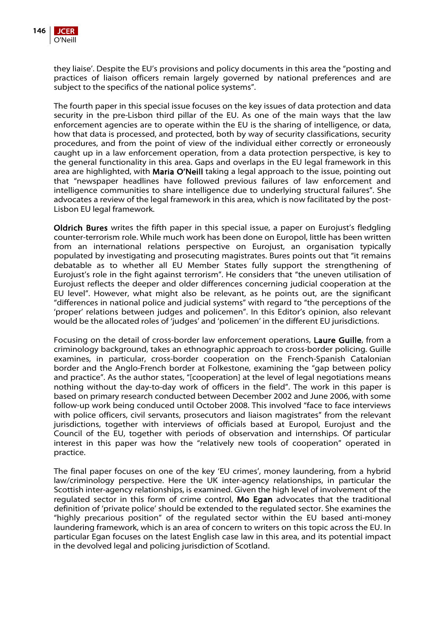

they liaise'. Despite the EU's provisions and policy documents in this area the "posting and practices of liaison officers remain largely governed by national preferences and are subject to the specifics of the national police systems".

The fourth paper in this special issue focuses on the key issues of data protection and data security in the pre-Lisbon third pillar of the EU. As one of the main ways that the law enforcement agencies are to operate within the EU is the sharing of intelligence, or data, how that data is processed, and protected, both by way of security classifications, security procedures, and from the point of view of the individual either correctly or erroneously caught up in a law enforcement operation, from a data protection perspective, is key to the general functionality in this area. Gaps and overlaps in the EU legal framework in this area are highlighted, with Maria O'Neill taking a legal approach to the issue, pointing out that "newspaper headlines have followed previous failures of law enforcement and intelligence communities to share intelligence due to underlying structural failures". She advocates a review of the legal framework in this area, which is now facilitated by the post-Lisbon EU legal framework.

Oldrich Bures writes the fifth paper in this special issue, a paper on Eurojust's fledgling counter-terrorism role. While much work has been done on Europol, little has been written from an international relations perspective on Eurojust, an organisation typically populated by investigating and prosecuting magistrates. Bures points out that "it remains debatable as to whether all EU Member States fully support the strengthening of Eurojust's role in the fight against terrorism". He considers that "the uneven utilisation of Eurojust reflects the deeper and older differences concerning judicial cooperation at the EU level". However, what might also be relevant, as he points out, are the significant "differences in national police and judicial systems" with regard to "the perceptions of the 'proper' relations between judges and policemen". In this Editor's opinion, also relevant would be the allocated roles of 'judges' and 'policemen' in the different EU jurisdictions.

Focusing on the detail of cross-border law enforcement operations, Laure Guille, from a criminology background, takes an ethnographic approach to cross-border policing. Guille examines, in particular, cross-border cooperation on the French-Spanish Catalonian border and the Anglo-French border at Folkestone, examining the "gap between policy and practice". As the author states, "[cooperation] at the level of legal negotiations means nothing without the day-to-day work of officers in the field". The work in this paper is based on primary research conducted between December 2002 and June 2006, with some follow-up work being conduced until October 2008. This involved "face to face interviews with police officers, civil servants, prosecutors and liaison magistrates" from the relevant jurisdictions, together with interviews of officials based at Europol, Eurojust and the Council of the EU, together with periods of observation and internships. Of particular interest in this paper was how the "relatively new tools of cooperation" operated in practice.

The final paper focuses on one of the key 'EU crimes', money laundering, from a hybrid law/criminology perspective. Here the UK inter-agency relationships, in particular the Scottish inter-agency relationships, is examined. Given the high level of involvement of the regulated sector in this form of crime control, Mo Egan advocates that the traditional definition of 'private police' should be extended to the regulated sector. She examines the "highly precarious position" of the regulated sector within the EU based anti-money laundering framework, which is an area of concern to writers on this topic across the EU. In particular Egan focuses on the latest English case law in this area, and its potential impact in the devolved legal and policing jurisdiction of Scotland.